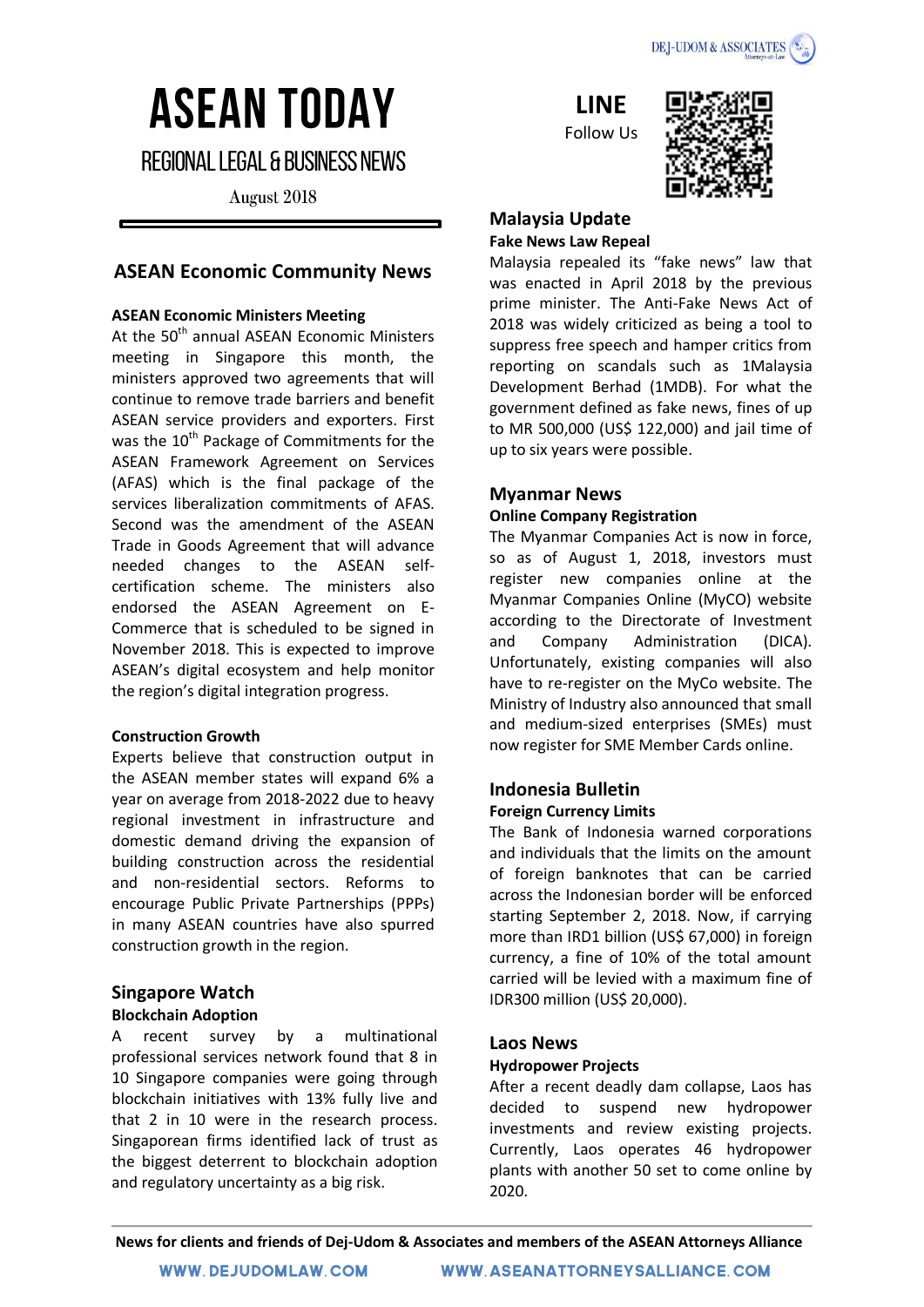

# **ASEAN TODAY**

**REGIONAL LEGAL & BUSINESS NEWS** 

August 2018

# **ASEAN Economic Community News**

# **ASEAN Economic Ministers Meeting**

At the 50<sup>th</sup> annual ASEAN Economic Ministers meeting in Singapore this month, the ministers approved two agreements that will continue to remove trade barriers and benefit ASEAN service providers and exporters. First was the 10<sup>th</sup> Package of Commitments for the ASEAN Framework Agreement on Services (AFAS) which is the final package of the services liberalization commitments of AFAS. Second was the amendment of the ASEAN Trade in Goods Agreement that will advance needed changes to the ASEAN selfcertification scheme. The ministers also endorsed the ASEAN Agreement on E-Commerce that is scheduled to be signed in November 2018. This is expected to improve ASEAN's digital ecosystem and help monitor the region's digital integration progress.

#### **Construction Growth**

Experts believe that construction output in the ASEAN member states will expand 6% a year on average from 2018-2022 due to heavy regional investment in infrastructure and domestic demand driving the expansion of building construction across the residential and non-residential sectors. Reforms to encourage Public Private Partnerships (PPPs) in many ASEAN countries have also spurred construction growth in the region.

## **Singapore Watch Blockchain Adoption**

A recent survey by a multinational professional services network found that 8 in 10 Singapore companies were going through blockchain initiatives with 13% fully live and that 2 in 10 were in the research process. Singaporean firms identified lack of trust as the biggest deterrent to blockchain adoption and regulatory uncertainty as a big risk.

**LINE**

Follow Us



#### **Malaysia Update Fake News Law Repeal**

Malaysia repealed its "fake news" law that was enacted in April 2018 by the previous prime minister. The Anti-Fake News Act of 2018 was widely criticized as being a tool to suppress free speech and hamper critics from reporting on scandals such as 1Malaysia Development Berhad (1MDB). For what the government defined as fake news, fines of up to MR 500,000 (US\$ 122,000) and jail time of up to six years were possible.

# **Myanmar News**

# **Online Company Registration**

The Myanmar Companies Act is now in force, so as of August 1, 2018, investors must register new companies online at the Myanmar Companies Online (MyCO) website according to the Directorate of Investment and Company Administration (DICA). Unfortunately, existing companies will also have to re-register on the MyCo website. The Ministry of Industry also announced that small and medium-sized enterprises (SMEs) must now register for SME Member Cards online.

# **Indonesia Bulletin Foreign Currency Limits**

The Bank of Indonesia warned corporations and individuals that the limits on the amount of foreign banknotes that can be carried across the Indonesian border will be enforced starting September 2, 2018. Now, if carrying more than IRD1 billion (US\$ 67,000) in foreign currency, a fine of 10% of the total amount carried will be levied with a maximum fine of IDR300 million (US\$ 20,000).

# **Laos News**

# **Hydropower Projects**

After a recent deadly dam collapse, Laos has decided to suspend new hydropower investments and review existing projects. Currently, Laos operates 46 hydropower plants with another 50 set to come online by 2020.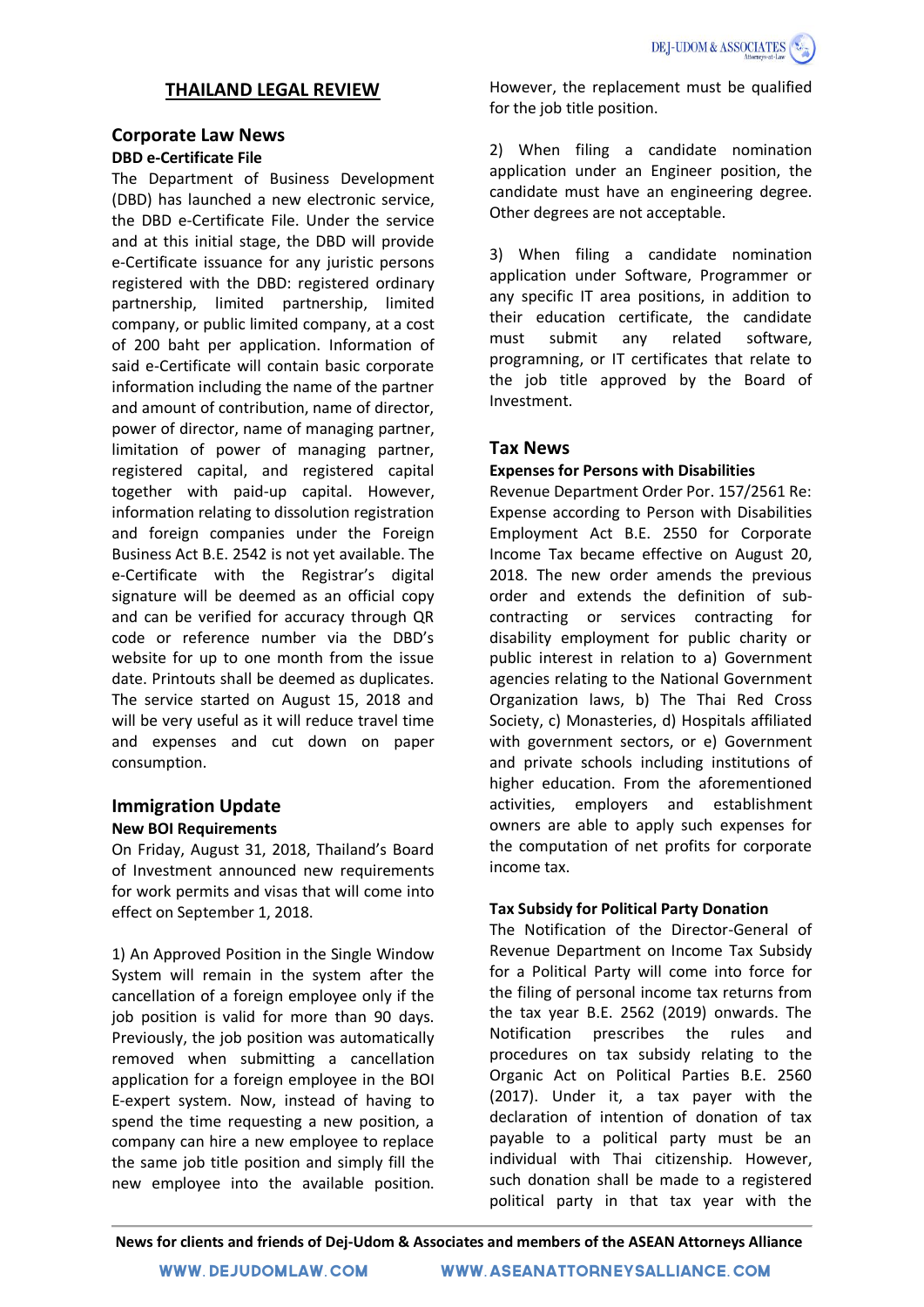# **THAILAND LEGAL REVIEW**

## **Corporate Law News**

#### **DBD e-Certificate File**

The Department of Business Development (DBD) has launched a new electronic service, the DBD e-Certificate File. Under the service and at this initial stage, the DBD will provide e-Certificate issuance for any juristic persons registered with the DBD: registered ordinary partnership, limited partnership, limited company, or public limited company, at a cost of 200 baht per application. Information of said e-Certificate will contain basic corporate information including the name of the partner and amount of contribution, name of director, power of director, name of managing partner, limitation of power of managing partner, registered capital, and registered capital together with paid-up capital. However, information relating to dissolution registration and foreign companies under the Foreign Business Act B.E. 2542 is not yet available. The e-Certificate with the Registrar's digital signature will be deemed as an official copy and can be verified for accuracy through QR code or reference number via the DBD's website for up to one month from the issue date. Printouts shall be deemed as duplicates. The service started on August 15, 2018 and will be very useful as it will reduce travel time and expenses and cut down on paper consumption.

# **Immigration Update New BOI Requirements**

On Friday, August 31, 2018, Thailand's Board of Investment announced new requirements for work permits and visas that will come into effect on September 1, 2018.

1) An Approved Position in the Single Window System will remain in the system after the cancellation of a foreign employee only if the job position is valid for more than 90 days. Previously, the job position was automatically removed when submitting a cancellation application for a foreign employee in the BOI E-expert system. Now, instead of having to spend the time requesting a new position, a company can hire a new employee to replace the same job title position and simply fill the new employee into the available position.

However, the replacement must be qualified for the job title position.

2) When filing a candidate nomination application under an Engineer position, the candidate must have an engineering degree. Other degrees are not acceptable.

3) When filing a candidate nomination application under Software, Programmer or any specific IT area positions, in addition to their education certificate, the candidate must submit any related software, programning, or IT certificates that relate to the job title approved by the Board of Investment.

## **Tax News**

#### **Expenses for Persons with Disabilities**

Revenue Department Order Por. 157/2561 Re: Expense according to Person with Disabilities Employment Act B.E. 2550 for Corporate Income Tax became effective on August 20, 2018. The new order amends the previous order and extends the definition of subcontracting or services contracting for disability employment for public charity or public interest in relation to a) Government agencies relating to the National Government Organization laws, b) The Thai Red Cross Society, c) Monasteries, d) Hospitals affiliated with government sectors, or e) Government and private schools including institutions of higher education. From the aforementioned activities, employers and establishment owners are able to apply such expenses for the computation of net profits for corporate income tax.

#### **Tax Subsidy for Political Party Donation**

The Notification of the Director-General of Revenue Department on Income Tax Subsidy for a Political Party will come into force for the filing of personal income tax returns from the tax year B.E. 2562 (2019) onwards. The Notification prescribes the rules and procedures on tax subsidy relating to the Organic Act on Political Parties B.E. 2560 (2017). Under it, a tax payer with the declaration of intention of donation of tax payable to a political party must be an individual with Thai citizenship. However, such donation shall be made to a registered political party in that tax year with the